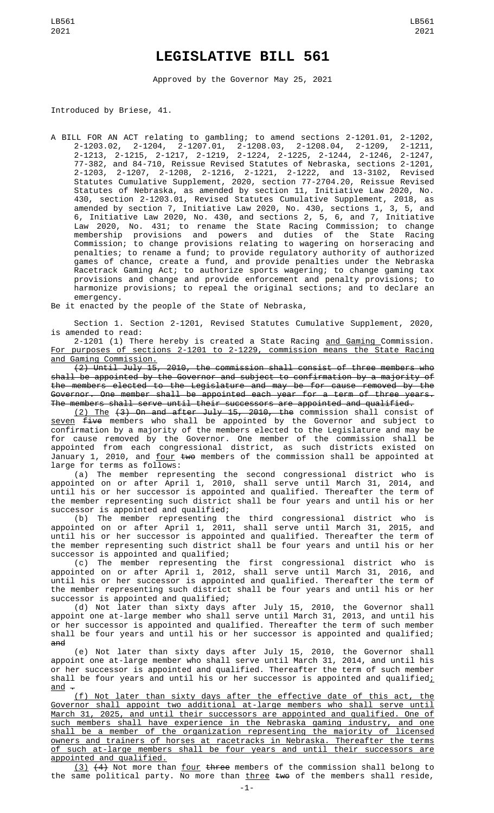## **LEGISLATIVE BILL 561**

Approved by the Governor May 25, 2021

Introduced by Briese, 41.

A BILL FOR AN ACT relating to gambling; to amend sections 2-1201.01, 2-1202, 2-1203.02, 2-1204, 2-1207.01, 2-1208.03, 2-1208.04, 2-1209, 2-1211, 2-1213, 2-1215, 2-1217, 2-1219, 2-1224, 2-1225, 2-1244, 2-1246, 2-1247, 77-382, and 84-710, Reissue Revised Statutes of Nebraska, sections 2-1201, 2-1203, 2-1207, 2-1208, 2-1216, 2-1221, 2-1222, and 13-3102, Revised Statutes Cumulative Supplement, 2020, section 77-2704.20, Reissue Revised Statutes of Nebraska, as amended by section 11, Initiative Law 2020, No. 430, section 2-1203.01, Revised Statutes Cumulative Supplement, 2018, as amended by section 7, Initiative Law 2020, No. 430, sections 1, 3, 5, and 6, Initiative Law 2020, No. 430, and sections 2, 5, 6, and 7, Initiative Law 2020, No. 431; to rename the State Racing Commission; to change membership provisions and powers and duties of the State Racing Commission; to change provisions relating to wagering on horseracing and penalties; to rename a fund; to provide regulatory authority of authorized games of chance, create a fund, and provide penalties under the Nebraska Racetrack Gaming Act; to authorize sports wagering; to change gaming tax provisions and change and provide enforcement and penalty provisions; to harmonize provisions; to repeal the original sections; and to declare an emergency.

Be it enacted by the people of the State of Nebraska,

Section 1. Section 2-1201, Revised Statutes Cumulative Supplement, 2020, is amended to read:

2-1201 (1) There hereby is created a State Racing <u>and Gaming </u>Commission. For purposes of sections 2-1201 to 2-1229, commission means the State Racing

and Gaming Commission.<br>(2) Until July 15, 2010, the commission shall consist of three members who shall be appointed by the Governor and subject to confirmation by a majority of the members elected to the Legislature and may be for cause removed by the Governor. One member shall be appointed each year for a term of three years. The members shall serve until their successors are appointed and qualified.

(2) The (3) On and after July 15, 2010, the commission shall consist of <u>seven</u> <del>five</del> members who shall be appointed by the Governor and subject to confirmation by a majority of the members elected to the Legislature and may be for cause removed by the Governor. One member of the commission shall be appointed from each congressional district, as such districts existed on January 1, 2010, and <u>four</u> <del>two</del> members of the commission shall be appointed at large for terms as follows:

(a) The member representing the second congressional district who is appointed on or after April 1, 2010, shall serve until March 31, 2014, and until his or her successor is appointed and qualified. Thereafter the term of the member representing such district shall be four years and until his or her successor is appointed and qualified;

(b) The member representing the third congressional district who is appointed on or after April 1, 2011, shall serve until March 31, 2015, and until his or her successor is appointed and qualified. Thereafter the term of the member representing such district shall be four years and until his or her successor is appointed and qualified;

(c) The member representing the first congressional district who is appointed on or after April 1, 2012, shall serve until March 31, 2016, and until his or her successor is appointed and qualified. Thereafter the term of the member representing such district shall be four years and until his or her successor is appointed and qualified;

(d) Not later than sixty days after July 15, 2010, the Governor shall appoint one at-large member who shall serve until March 31, 2013, and until his or her successor is appointed and qualified. Thereafter the term of such member shall be four years and until his or her successor is appointed and qualified; and

(e) Not later than sixty days after July 15, 2010, the Governor shall appoint one at-large member who shall serve until March 31, 2014, and until his or her successor is appointed and qualified. Thereafter the term of such member shall be four years and until his or her successor is appointed and qualified; and .

(f) Not later than sixty days after the effective date of this act, the Governor shall appoint two additional at-large members who shall serve until March 31, 2025, and until their successors are appointed and qualified. One of such members shall have experience in the Nebraska gaming industry, and one shall be a member of the organization representing the majority of licensed owners and trainers of horses at racetracks in Nebraska. Thereafter the terms of such at-large members shall be four years and until their successors are appointed and qualified.

<u>(3)</u> <del>(4)</del> Not more than <u>four</u> <del>three</del> members of the commission shall belong to the same political party. No more than <u>three</u> <del>two</del> of the members shall reside,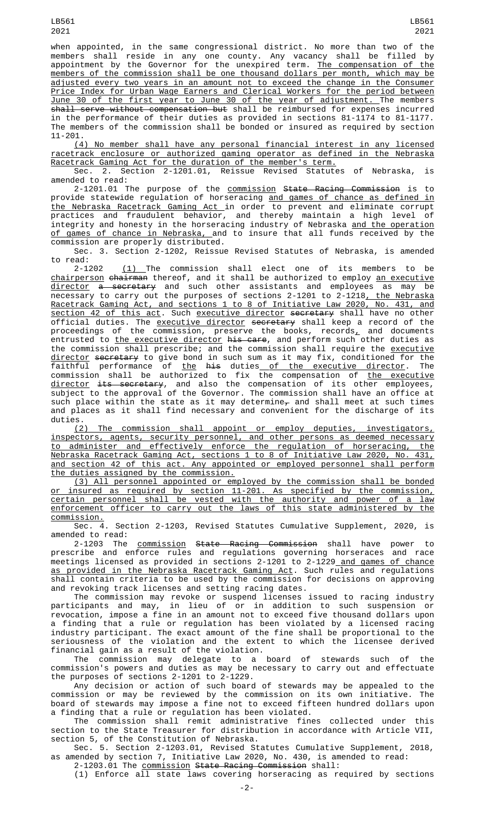when appointed, in the same congressional district. No more than two of the members shall reside in any one county. Any vacancy shall be filled by appointment by the Governor for the unexpired term. <u>The compensation of the</u> members of the commission shall be one thousand dollars per month, which may be adjusted every two years in an amount not to exceed the change in the Consumer Price Index for Urban Wage Earners and Clerical Workers for the period between June 30 of the first year to June 30 of the year of adjustment. The members shall serve without compensation but shall be reimbursed for expenses incurred in the performance of their duties as provided in sections 81-1174 to 81-1177. The members of the commission shall be bonded or insured as required by section 11-201.

(4) No member shall have any personal financial interest in any licensed racetrack enclosure or authorized gaming operator as defined in the Nebraska Racetrack Gaming Act for the duration of the member's term.

Sec. 2. Section 2-1201.01, Reissue Revised Statutes of Nebraska, is amended to read:

2-1201.01 The purpose of the <u>commission</u> <del>State Racing Commission</del> is to provide statewide regulation of horseracing <u>and games of chance as defined in</u> the Nebraska Racetrack Gaming Act in order to prevent and eliminate corrupt practices and fraudulent behavior, and thereby maintain a high level of integrity and honesty in the horseracing industry of Nebraska <u>and the operation</u> <u>of games of chance in Nebraska, a</u>nd to insure that all funds received by the commission are properly distributed.

Sec. 3. Section 2-1202, Reissue Revised Statutes of Nebraska, is amended to read:

2-1202 <u>(1) </u>The commission shall elect one of its members to be <u>chairperson</u> <del>chairman</del> thereof, and it shall be authorized to employ <u>an executive</u> <u>director</u> <del>a secretary</del> and such other assistants and employees as may be necessary to carry out the purposes of sections 2-1201 to 2-1218<u>, the Nebraska</u> Racetrack Gaming Act, and sections 1 to 8 of Initiative Law 2020, No. 431, and section 42 of this act. Such executive director secretary shall have no other official duties. The <u>executive director</u> <del>secretary</del> shall keep a record of the proceedings of the commission, preserve the books, records $_{\rm {\bf \mathcal{L}}}$  and documents entrusted to <u>the executive director</u> <del>his care</del>, and perform such other duties as the commission shall prescribe; and the commission shall require the <u>executive</u> <u>director</u> <del>secretary</del> to give bond in such sum as it may fix, conditioned for the faithful performance of <u>the</u> <del>his</del> duties<u> of the executive director</u>. The commission shall be authorized to fix the compensation of <u>the executive</u> director its secretary, and also the compensation of its other employees, subject to the approval of the Governor. The commission shall have an office at such place within the state as it may determine<del>,</del> and shall meet at such times and places as it shall find necessary and convenient for the discharge of its duties.

(2) The commission shall appoint or employ deputies, investigators, inspectors, agents, security personnel, and other persons as deemed necessary to administer and effectively enforce the regulation of horseracing, the Nebraska Racetrack Gaming Act, sections 1 to 8 of Initiative Law 2020, No. 431, and section 42 of this act. Any appointed or employed personnel shall perform the duties assigned by the commission.

(3) All personnel appointed or employed by the commission shall be bonded or insured as required by section 11-201. As specified by the commission, certain personnel shall be vested with the authority and power of a law enforcement officer to carry out the laws of this state administered by the commission.

Sec. 4. Section 2-1203, Revised Statutes Cumulative Supplement, 2020, is amended to read:

2-1203 The <u>commission</u> <del>State Racing Commission</del> shall have power to prescribe and enforce rules and regulations governing horseraces and race meetings licensed as provided in sections 2-1201 to 2-1229<u> and games of chance</u> as provided in the Nebraska Racetrack Gaming Act. Such rules and regulations shall contain criteria to be used by the commission for decisions on approving and revoking track licenses and setting racing dates.

The commission may revoke or suspend licenses issued to racing industry participants and may, in lieu of or in addition to such suspension or revocation, impose a fine in an amount not to exceed five thousand dollars upon a finding that a rule or regulation has been violated by a licensed racing industry participant. The exact amount of the fine shall be proportional to the seriousness of the violation and the extent to which the licensee derived financial gain as a result of the violation.

The commission may delegate to a board of stewards such of the commission's powers and duties as may be necessary to carry out and effectuate the purposes of sections 2-1201 to 2-1229.

Any decision or action of such board of stewards may be appealed to the commission or may be reviewed by the commission on its own initiative. The board of stewards may impose a fine not to exceed fifteen hundred dollars upon a finding that a rule or regulation has been violated.

The commission shall remit administrative fines collected under this section to the State Treasurer for distribution in accordance with Article VII, section 5, of the Constitution of Nebraska.

Sec. 5. Section 2-1203.01, Revised Statutes Cumulative Supplement, 2018, as amended by section 7, Initiative Law 2020, No. 430, is amended to read:

2-1203.01 The commission State Racing Commission shall:

(1) Enforce all state laws covering horseracing as required by sections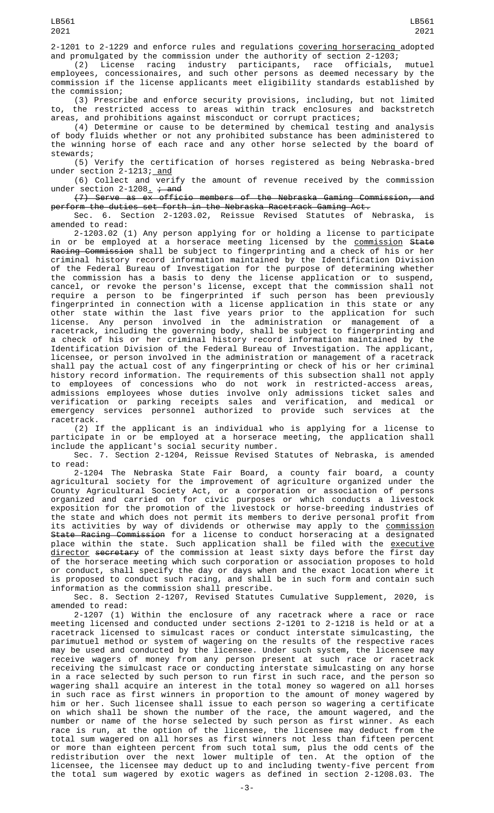2-1201 to 2-1229 and enforce rules and regulations covering horseracing adopted

and promulgated by the commission under the authority of section 2-1203;<br>(2) License racing industry participants, race officials, (2) License racing industry participants, race officials, mutuel employees, concessionaires, and such other persons as deemed necessary by the commission if the license applicants meet eligibility standards established by the commission;

(3) Prescribe and enforce security provisions, including, but not limited to, the restricted access to areas within track enclosures and backstretch areas, and prohibitions against misconduct or corrupt practices;

(4) Determine or cause to be determined by chemical testing and analysis of body fluids whether or not any prohibited substance has been administered to the winning horse of each race and any other horse selected by the board of stewards;

(5) Verify the certification of horses registered as being Nebraska-bred under section 2-1213; <u>and</u>

(6) Collect and verify the amount of revenue received by the commission under section 2-1208<u>.</u> <del>; and</del>

(7) Serve as ex officio members of the Nebraska Gaming Commission, and perform the duties set forth in the Nebraska Racetrack Gaming Act.

Sec. 6. Section 2-1203.02, Reissue Revised Statutes of Nebraska, is amended to read:

2-1203.02 (1) Any person applying for or holding a license to participate in or be employed at a horserace meeting licensed by the <u>commission</u> <del>State</del> Racing Commission shall be subject to fingerprinting and a check of his or her criminal history record information maintained by the Identification Division of the Federal Bureau of Investigation for the purpose of determining whether the commission has a basis to deny the license application or to suspend, cancel, or revoke the person's license, except that the commission shall not require a person to be fingerprinted if such person has been previously fingerprinted in connection with a license application in this state or any other state within the last five years prior to the application for such license. Any person involved in the administration or management of a racetrack, including the governing body, shall be subject to fingerprinting and a check of his or her criminal history record information maintained by the Identification Division of the Federal Bureau of Investigation. The applicant, licensee, or person involved in the administration or management of a racetrack shall pay the actual cost of any fingerprinting or check of his or her criminal history record information. The requirements of this subsection shall not apply to employees of concessions who do not work in restricted-access areas, admissions employees whose duties involve only admissions ticket sales and verification or parking receipts sales and verification, and medical or emergency services personnel authorized to provide such services at the racetrack.

(2) If the applicant is an individual who is applying for a license to participate in or be employed at a horserace meeting, the application shall include the applicant's social security number.

Sec. 7. Section 2-1204, Reissue Revised Statutes of Nebraska, is amended<br>read: to read:

2-1204 The Nebraska State Fair Board, a county fair board, a county agricultural society for the improvement of agriculture organized under the County Agricultural Society Act, or a corporation or association of persons organized and carried on for civic purposes or which conducts a livestock exposition for the promotion of the livestock or horse-breeding industries of the state and which does not permit its members to derive personal profit from its activities by way of dividends or otherwise may apply to the <u>commission</u> State Racing Commission for a license to conduct horseracing at a designated place within the state. Such application shall be filed with the <u>executive</u> director secretary of the commission at least sixty days before the first day of the horserace meeting which such corporation or association proposes to hold or conduct, shall specify the day or days when and the exact location where it is proposed to conduct such racing, and shall be in such form and contain such information as the commission shall prescribe.

Sec. 8. Section 2-1207, Revised Statutes Cumulative Supplement, 2020, is amended to read:

2-1207 (1) Within the enclosure of any racetrack where a race or race meeting licensed and conducted under sections 2-1201 to 2-1218 is held or at a racetrack licensed to simulcast races or conduct interstate simulcasting, the parimutuel method or system of wagering on the results of the respective races may be used and conducted by the licensee. Under such system, the licensee may receive wagers of money from any person present at such race or racetrack receiving the simulcast race or conducting interstate simulcasting on any horse in a race selected by such person to run first in such race, and the person so wagering shall acquire an interest in the total money so wagered on all horses in such race as first winners in proportion to the amount of money wagered by him or her. Such licensee shall issue to each person so wagering a certificate on which shall be shown the number of the race, the amount wagered, and the number or name of the horse selected by such person as first winner. As each race is run, at the option of the licensee, the licensee may deduct from the total sum wagered on all horses as first winners not less than fifteen percent or more than eighteen percent from such total sum, plus the odd cents of the redistribution over the next lower multiple of ten. At the option of the licensee, the licensee may deduct up to and including twenty-five percent from the total sum wagered by exotic wagers as defined in section 2-1208.03. The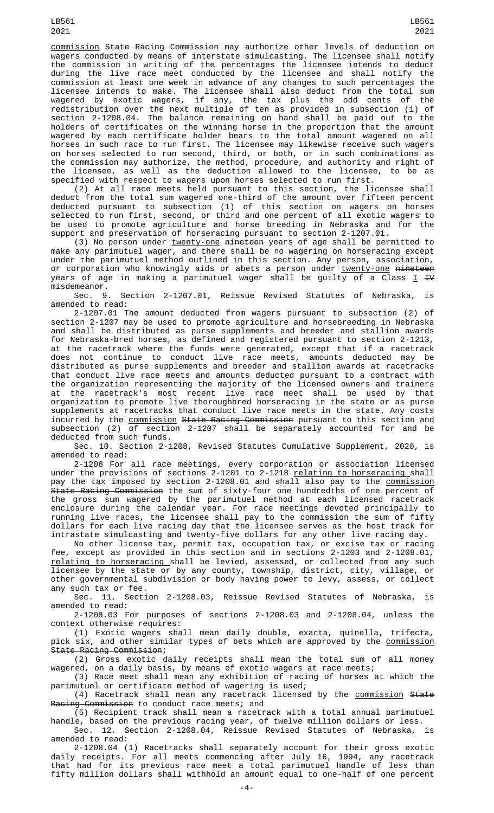commission State Racing Commission may authorize other levels of deduction on wagers conducted by means of interstate simulcasting. The licensee shall notify the commission in writing of the percentages the licensee intends to deduct during the live race meet conducted by the licensee and shall notify the commission at least one week in advance of any changes to such percentages the licensee intends to make. The licensee shall also deduct from the total sum wagered by exotic wagers, if any, the tax plus the odd cents of the redistribution over the next multiple of ten as provided in subsection (1) of section 2-1208.04. The balance remaining on hand shall be paid out to the holders of certificates on the winning horse in the proportion that the amount wagered by each certificate holder bears to the total amount wagered on all horses in such race to run first. The licensee may likewise receive such wagers on horses selected to run second, third, or both, or in such combinations as the commission may authorize, the method, procedure, and authority and right of the licensee, as well as the deduction allowed to the licensee, to be as specified with respect to wagers upon horses selected to run first.

(2) At all race meets held pursuant to this section, the licensee shall deduct from the total sum wagered one-third of the amount over fifteen percent deducted pursuant to subsection (1) of this section on wagers on horses selected to run first, second, or third and one percent of all exotic wagers to be used to promote agriculture and horse breeding in Nebraska and for the support and preservation of horseracing pursuant to section 2-1207.01.

(3) No person under <u>twenty-one</u> <del>nineteen</del> years of age shall be permitted to make any parimutuel wager, and there shall be no wagering <u>on horseracing </u>except under the parimutuel method outlined in this section. Any person, association, or corporation who knowingly aids or abets a person under <u>twenty-one</u> <del>nineteen</del> years of age in making a parimutuel wager shall be guilty of a Class <u>I</u> <del>IV</del>

misdemeanor.<br>Sec. 9. Section 2-1207.01, Reissue Revised Statutes of Nebraska, is amended to read:

2-1207.01 The amount deducted from wagers pursuant to subsection (2) of section 2-1207 may be used to promote agriculture and horsebreeding in Nebraska and shall be distributed as purse supplements and breeder and stallion awards for Nebraska-bred horses, as defined and registered pursuant to section 2-1213, at the racetrack where the funds were generated, except that if a racetrack does not continue to conduct live race meets, amounts deducted may be distributed as purse supplements and breeder and stallion awards at racetracks that conduct live race meets and amounts deducted pursuant to a contract with the organization representing the majority of the licensed owners and trainers at the racetrack's most recent live race meet shall be used by that organization to promote live thoroughbred horseracing in the state or as purse supplements at racetracks that conduct live race meets in the state. Any costs incurred by the commission State Racing Commission pursuant to this section and subsection (2) of section 2-1207 shall be separately accounted for and be deducted from such funds.

Sec. 10. Section 2-1208, Revised Statutes Cumulative Supplement, 2020, is amended to read:

2-1208 For all race meetings, every corporation or association licensed under the provisions of sections 2-1201 to 2-1218 relating to horseracing shall pay the tax imposed by section 2-1208.01 and shall also pay to the <u>commission</u> State Racing Commission the sum of sixty-four one hundredths of one percent of the gross sum wagered by the parimutuel method at each licensed racetrack enclosure during the calendar year. For race meetings devoted principally to running live races, the licensee shall pay to the commission the sum of fifty dollars for each live racing day that the licensee serves as the host track for intrastate simulcasting and twenty-five dollars for any other live racing day.

No other license tax, permit tax, occupation tax, or excise tax or racing fee, except as provided in this section and in sections 2-1203 and 2-1208.01, relating to horseracing shall be levied, assessed, or collected from any such licensee by the state or by any county, township, district, city, village, or other governmental subdivision or body having power to levy, assess, or collect any such tax or fee.

Sec. 11. Section 2-1208.03, Reissue Revised Statutes of Nebraska, is amended to read:

2-1208.03 For purposes of sections 2-1208.03 and 2-1208.04, unless the context otherwise requires:

(1) Exotic wagers shall mean daily double, exacta, quinella, trifecta, pick six, and other similar types of bets which are approved by the commission State Racing Commission;

(2) Gross exotic daily receipts shall mean the total sum of all money wagered, on a daily basis, by means of exotic wagers at race meets;

(3) Race meet shall mean any exhibition of racing of horses at which the parimutuel or certificate method of wagering is used;

(4) Racetrack shall mean any racetrack licensed by the <u>commission</u> <del>State</del> Racing Commission to conduct race meets; and

(5) Recipient track shall mean a racetrack with a total annual parimutuel handle, based on the previous racing year, of twelve million dollars or less.

Sec. 12. Section 2-1208.04, Reissue Revised Statutes of Nebraska, is amended to read:

2-1208.04 (1) Racetracks shall separately account for their gross exotic daily receipts. For all meets commencing after July 16, 1994, any racetrack that had for its previous race meet a total parimutuel handle of less than fifty million dollars shall withhold an amount equal to one-half of one percent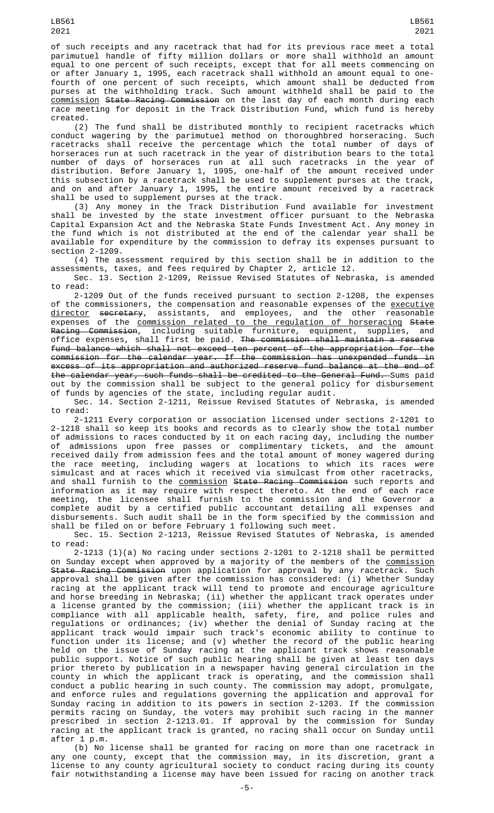of such receipts and any racetrack that had for its previous race meet a total parimutuel handle of fifty million dollars or more shall withhold an amount equal to one percent of such receipts, except that for all meets commencing on or after January 1, 1995, each racetrack shall withhold an amount equal to onefourth of one percent of such receipts, which amount shall be deducted from purses at the withholding track. Such amount withheld shall be paid to the commission State Racing Commission on the last day of each month during each race meeting for deposit in the Track Distribution Fund, which fund is hereby created.

(2) The fund shall be distributed monthly to recipient racetracks which conduct wagering by the parimutuel method on thoroughbred horseracing. Such racetracks shall receive the percentage which the total number of days of horseraces run at such racetrack in the year of distribution bears to the total number of days of horseraces run at all such racetracks in the year of distribution. Before January 1, 1995, one-half of the amount received under this subsection by a racetrack shall be used to supplement purses at the track, and on and after January 1, 1995, the entire amount received by a racetrack shall be used to supplement purses at the track.

(3) Any money in the Track Distribution Fund available for investment shall be invested by the state investment officer pursuant to the Nebraska Capital Expansion Act and the Nebraska State Funds Investment Act. Any money in the fund which is not distributed at the end of the calendar year shall be available for expenditure by the commission to defray its expenses pursuant to section 2-1209.

(4) The assessment required by this section shall be in addition to the assessments, taxes, and fees required by Chapter 2, article 12.

Sec. 13. Section 2-1209, Reissue Revised Statutes of Nebraska, is amended to read:

2-1209 Out of the funds received pursuant to section 2-1208, the expenses of the commissioners, the compensation and reasonable expenses of the <u>executive</u> <u>director</u> <del>secretary</del>, assistants, and employees, and the other reasonable expenses of the <u>commission related to the regulation of horseracing</u> <del>State</del> <del>Racing Commission</del>, including suitable furniture, equipment, supplies, and office expenses, shall first be paid. The commission shall maintain a reserve fund balance which shall not exceed ten percent of the appropriation for the commission for the calendar year. If the commission has unexpended funds in excess of its appropriation and authorized reserve fund balance at the end of the calendar year, such funds shall be credited to the General Fund. Sums paid out by the commission shall be subject to the general policy for disbursement of funds by agencies of the state, including regular audit.

Sec. 14. Section 2-1211, Reissue Revised Statutes of Nebraska, is amended to read:

2-1211 Every corporation or association licensed under sections 2-1201 to 2-1218 shall so keep its books and records as to clearly show the total number of admissions to races conducted by it on each racing day, including the number of admissions upon free passes or complimentary tickets, and the amount received daily from admission fees and the total amount of money wagered during the race meeting, including wagers at locations to which its races were simulcast and at races which it received via simulcast from other racetracks, and shall furnish to the <u>commission</u> <del>State Racing Commission</del> such reports and information as it may require with respect thereto. At the end of each race meeting, the licensee shall furnish to the commission and the Governor a complete audit by a certified public accountant detailing all expenses and disbursements. Such audit shall be in the form specified by the commission and shall be filed on or before February 1 following such meet.

Sec. 15. Section 2-1213, Reissue Revised Statutes of Nebraska, is amended to read:

 $2-1213$  (1)(a) No racing under sections  $2-1201$  to  $2-1218$  shall be permitted on Sunday except when approved by a majority of the members of the <u>commission</u> <del>State Racing Commission</del> upon application for approval by any racetrack. Such approval shall be given after the commission has considered: (i) Whether Sunday racing at the applicant track will tend to promote and encourage agriculture and horse breeding in Nebraska; (ii) whether the applicant track operates under a license granted by the commission; (iii) whether the applicant track is in compliance with all applicable health, safety, fire, and police rules and regulations or ordinances; (iv) whether the denial of Sunday racing at the applicant track would impair such track's economic ability to continue to function under its license; and (v) whether the record of the public hearing held on the issue of Sunday racing at the applicant track shows reasonable public support. Notice of such public hearing shall be given at least ten days prior thereto by publication in a newspaper having general circulation in the county in which the applicant track is operating, and the commission shall conduct a public hearing in such county. The commission may adopt, promulgate, and enforce rules and regulations governing the application and approval for Sunday racing in addition to its powers in section 2-1203. If the commission permits racing on Sunday, the voters may prohibit such racing in the manner prescribed in section 2-1213.01. If approval by the commission for Sunday racing at the applicant track is granted, no racing shall occur on Sunday until after 1 p.m.

(b) No license shall be granted for racing on more than one racetrack in any one county, except that the commission may, in its discretion, grant a license to any county agricultural society to conduct racing during its county fair notwithstanding a license may have been issued for racing on another track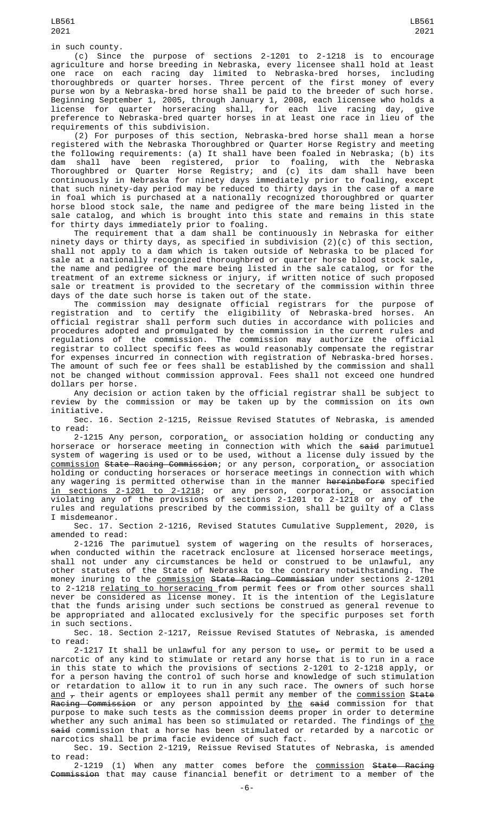(c) Since the purpose of sections 2-1201 to 2-1218 is to encourage agriculture and horse breeding in Nebraska, every licensee shall hold at least one race on each racing day limited to Nebraska-bred horses, including thoroughbreds or quarter horses. Three percent of the first money of every purse won by a Nebraska-bred horse shall be paid to the breeder of such horse. Beginning September 1, 2005, through January 1, 2008, each licensee who holds a license for quarter horseracing shall, for each live racing day, give preference to Nebraska-bred quarter horses in at least one race in lieu of the requirements of this subdivision.

(2) For purposes of this section, Nebraska-bred horse shall mean a horse registered with the Nebraska Thoroughbred or Quarter Horse Registry and meeting the following requirements: (a) It shall have been foaled in Nebraska; (b) its dam shall have been registered, prior to foaling, with the Nebraska Thoroughbred or Quarter Horse Registry; and (c) its dam shall have been continuously in Nebraska for ninety days immediately prior to foaling, except that such ninety-day period may be reduced to thirty days in the case of a mare in foal which is purchased at a nationally recognized thoroughbred or quarter horse blood stock sale, the name and pedigree of the mare being listed in the sale catalog, and which is brought into this state and remains in this state for thirty days immediately prior to foaling.

The requirement that a dam shall be continuously in Nebraska for either ninety days or thirty days, as specified in subdivision (2)(c) of this section, shall not apply to a dam which is taken outside of Nebraska to be placed for sale at a nationally recognized thoroughbred or quarter horse blood stock sale, the name and pedigree of the mare being listed in the sale catalog, or for the treatment of an extreme sickness or injury, if written notice of such proposed sale or treatment is provided to the secretary of the commission within three days of the date such horse is taken out of the state.

The commission may designate official registrars for the purpose of registration and to certify the eligibility of Nebraska-bred horses. An official registrar shall perform such duties in accordance with policies and procedures adopted and promulgated by the commission in the current rules and regulations of the commission. The commission may authorize the official registrar to collect specific fees as would reasonably compensate the registrar for expenses incurred in connection with registration of Nebraska-bred horses. The amount of such fee or fees shall be established by the commission and shall not be changed without commission approval. Fees shall not exceed one hundred dollars per horse.

Any decision or action taken by the official registrar shall be subject to review by the commission or may be taken up by the commission on its own initiative.

Sec. 16. Section 2-1215, Reissue Revised Statutes of Nebraska, is amended to read:

2-1215 Any person, corporation, or association holding or conducting any horserace or horserace meeting in connection with which the said parimutuel system of wagering is used or to be used, without a license duly issued by the commission State Racing Commission; or any person, corporation, or association holding or conducting horseraces or horserace meetings in connection with which any wagering is permitted otherwise than in the manner hereinbefore specified in sections 2-1201 to 2-1218; or any person, corporation, or association violating any of the provisions of sections 2-1201 to 2-1218 or any of the rules and regulations prescribed by the commission, shall be guilty of a Class I misdemeanor.

Sec. 17. Section 2-1216, Revised Statutes Cumulative Supplement, 2020, is amended to read:

2-1216 The parimutuel system of wagering on the results of horseraces, when conducted within the racetrack enclosure at licensed horserace meetings, shall not under any circumstances be held or construed to be unlawful, any other statutes of the State of Nebraska to the contrary notwithstanding. The money inuring to the commission State Racing Commission under sections 2-1201 to 2-1218 relating to horseracing from permit fees or from other sources shall never be considered as license money. It is the intention of the Legislature that the funds arising under such sections be construed as general revenue to be appropriated and allocated exclusively for the specific purposes set forth in such sections.

Sec. 18. Section 2-1217, Reissue Revised Statutes of Nebraska, is amended to read:

2-1217 It shall be unlawful for any person to use<sub> $\tau$ </sub> or permit to be used a narcotic of any kind to stimulate or retard any horse that is to run in a race in this state to which the provisions of sections 2-1201 to 2-1218 apply, or for a person having the control of such horse and knowledge of such stimulation or retardation to allow it to run in any such race. The owners of such horse <u>and</u>  $_{\mathcal{T}}$  their agents or employees shall permit any member of the <u>commission</u> <del>State</del> <del>Racing Commission</del> or any person appointed by <u>the</u> <del>said</del> commission for that purpose to make such tests as the commission deems proper in order to determine whether any such animal has been so stimulated or retarded. The findings of <u>the</u> said commission that a horse has been stimulated or retarded by a narcotic or narcotics shall be prima facie evidence of such fact.

Sec. 19. Section 2-1219, Reissue Revised Statutes of Nebraska, is amended to read:

2-1219 (1) When any matter comes before the <u>commission</u> <del>State Racing</del> <del>Commission</del> that may cause financial benefit or detriment to a member of the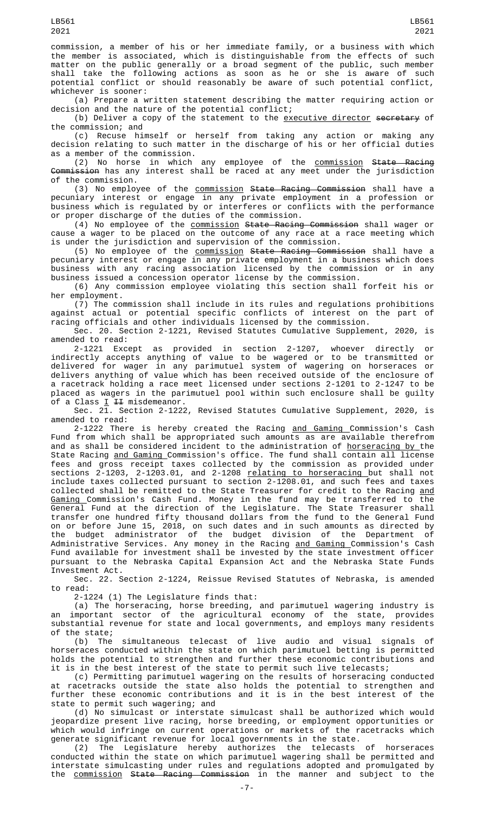commission, a member of his or her immediate family, or a business with which the member is associated, which is distinguishable from the effects of such matter on the public generally or a broad segment of the public, such member<br>shall take the following actions as soon as he or she is aware of such shall take the following actions as soon as he or she is aware of such potential conflict or should reasonably be aware of such potential conflict, whichever is sooner:

(a) Prepare a written statement describing the matter requiring action or decision and the nature of the potential conflict;

(b) Deliver a copy of the statement to the <u>executive director</u> s<del>ecretary</del> of the commission; and

(c) Recuse himself or herself from taking any action or making any decision relating to such matter in the discharge of his or her official duties as a member of the commission.

(2) No horse in which any employee of the <u>commission</u> <del>State Racing</del> Commission has any interest shall be raced at any meet under the jurisdiction of the commission.

(3) No employee of the <u>commission</u> <del>State Racing Commission</del> shall have a pecuniary interest or engage in any private employment in a profession or business which is regulated by or interferes or conflicts with the performance or proper discharge of the duties of the commission.

(4) No employee of the commission State Racing Commission shall wager or cause a wager to be placed on the outcome of any race at a race meeting which is under the jurisdiction and supervision of the commission.

(5) No employee of the <u>commission</u> <del>State Racing Commission</del> shall have a pecuniary interest or engage in any private employment in a business which does business with any racing association licensed by the commission or in any business issued a concession operator license by the commission.

(6) Any commission employee violating this section shall forfeit his or her employment.

(7) The commission shall include in its rules and regulations prohibitions against actual or potential specific conflicts of interest on the part of racing officials and other individuals licensed by the commission.

Sec. 20. Section 2-1221, Revised Statutes Cumulative Supplement, 2020, is amended to read:

2-1221 Except as provided in section 2-1207, whoever directly or indirectly accepts anything of value to be wagered or to be transmitted or delivered for wager in any parimutuel system of wagering on horseraces or delivers anything of value which has been received outside of the enclosure of a racetrack holding a race meet licensed under sections 2-1201 to 2-1247 to be placed as wagers in the parimutuel pool within such enclosure shall be guilty of a Class <u>I</u> <del>II</del> misdemeanor.

Sec. 21. Section 2-1222, Revised Statutes Cumulative Supplement, 2020, is amended to read:

2-1222 There is hereby created the Racing <u>and Gaming C</u>ommission's Cash Fund from which shall be appropriated such amounts as are available therefrom and as shall be considered incident to the administration of horseracing by the State Racing <u>and Gaming </u>Commission's office. The fund shall contain all license fees and gross receipt taxes collected by the commission as provided under sections 2-1203, 2-1203.01, and 2-1208 relating to horseracing but shall not include taxes collected pursuant to section 2-1208.01, and such fees and taxes collected shall be remitted to the State Treasurer for credit to the Racing <u>and</u> Gaming Commission's Cash Fund. Money in the fund may be transferred to the General Fund at the direction of the Legislature. The State Treasurer shall transfer one hundred fifty thousand dollars from the fund to the General Fund on or before June 15, 2018, on such dates and in such amounts as directed by the budget administrator of the budget division of the Department of Administrative Services. Any money in the Racing <u>and Gaming </u>Commission's Cash Fund available for investment shall be invested by the state investment officer pursuant to the Nebraska Capital Expansion Act and the Nebraska State Funds Investment Act.

Sec. 22. Section 2-1224, Reissue Revised Statutes of Nebraska, is amended to read:

2-1224 (1) The Legislature finds that:

(a) The horseracing, horse breeding, and parimutuel wagering industry is an important sector of the agricultural economy of the state, provides substantial revenue for state and local governments, and employs many residents of the state;

(b) The simultaneous telecast of live audio and visual signals of horseraces conducted within the state on which parimutuel betting is permitted holds the potential to strengthen and further these economic contributions and it is in the best interest of the state to permit such live telecasts;

(c) Permitting parimutuel wagering on the results of horseracing conducted at racetracks outside the state also holds the potential to strengthen and further these economic contributions and it is in the best interest of the state to permit such wagering; and

(d) No simulcast or interstate simulcast shall be authorized which would jeopardize present live racing, horse breeding, or employment opportunities or which would infringe on current operations or markets of the racetracks which generate significant revenue for local governments in the state.

(2) The Legislature hereby authorizes the telecasts of horseraces conducted within the state on which parimutuel wagering shall be permitted and interstate simulcasting under rules and regulations adopted and promulgated by the commission State Racing Commission in the manner and subject to the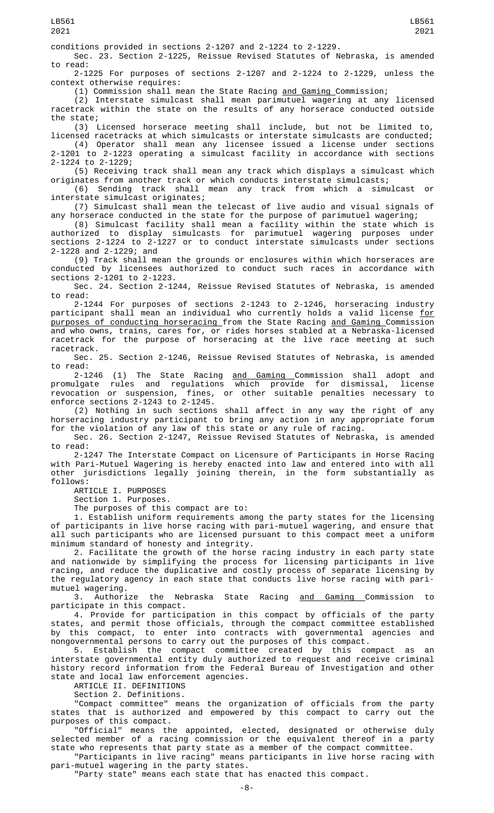Sec. 23. Section 2-1225, Reissue Revised Statutes of Nebraska, is amended to read:

2-1225 For purposes of sections 2-1207 and 2-1224 to 2-1229, unless the context otherwise requires:

(1) Commission shall mean the State Racing and Gaming Commission;

(2) Interstate simulcast shall mean parimutuel wagering at any licensed racetrack within the state on the results of any horserace conducted outside the state;

(3) Licensed horserace meeting shall include, but not be limited to, licensed racetracks at which simulcasts or interstate simulcasts are conducted; (4) Operator shall mean any licensee issued a license under sections

2-1201 to 2-1223 operating a simulcast facility in accordance with sections 2-1224 to 2-1229; (5) Receiving track shall mean any track which displays a simulcast which

originates from another track or which conducts interstate simulcasts;

(6) Sending track shall mean any track from which a simulcast or interstate simulcast originates;

(7) Simulcast shall mean the telecast of live audio and visual signals of any horserace conducted in the state for the purpose of parimutuel wagering;

(8) Simulcast facility shall mean a facility within the state which is authorized to display simulcasts for parimutuel wagering purposes under sections 2-1224 to 2-1227 or to conduct interstate simulcasts under sections 2-1228 and 2-1229; and

(9) Track shall mean the grounds or enclosures within which horseraces are conducted by licensees authorized to conduct such races in accordance with sections 2-1201 to 2-1223.

Sec. 24. Section 2-1244, Reissue Revised Statutes of Nebraska, is amended to read:

2-1244 For purposes of sections 2-1243 to 2-1246, horseracing industry participant shall mean an individual who currently holds a valid license <u>for</u> purposes of conducting horseracing from the State Racing and Gaming Commission and who owns, trains, cares for, or rides horses stabled at a Nebraska-licensed racetrack for the purpose of horseracing at the live race meeting at such racetrack.

Sec. 25. Section 2-1246, Reissue Revised Statutes of Nebraska, is amended to read:

2-1246 (1) The State Racing <u>and Gaming </u>Commission shall adopt and promulgate rules and regulations which provide for dismissal, license revocation or suspension, fines, or other suitable penalties necessary to enforce sections 2-1243 to 2-1245.

(2) Nothing in such sections shall affect in any way the right of any horseracing industry participant to bring any action in any appropriate forum for the violation of any law of this state or any rule of racing.

Sec. 26. Section 2-1247, Reissue Revised Statutes of Nebraska, is amended to read:

2-1247 The Interstate Compact on Licensure of Participants in Horse Racing with Pari-Mutuel Wagering is hereby enacted into law and entered into with all other jurisdictions legally joining therein, in the form substantially as follows:

ARTICLE I. PURPOSES

Section 1. Purposes.

The purposes of this compact are to:

1. Establish uniform requirements among the party states for the licensing of participants in live horse racing with pari-mutuel wagering, and ensure that all such participants who are licensed pursuant to this compact meet a uniform minimum standard of honesty and integrity.

2. Facilitate the growth of the horse racing industry in each party state and nationwide by simplifying the process for licensing participants in live racing, and reduce the duplicative and costly process of separate licensing by the regulatory agency in each state that conducts live horse racing with parimutuel wagering.<br>3. Authorize

the Nebraska State Racing and Gaming Commission to participate in this compact.

4. Provide for participation in this compact by officials of the party states, and permit those officials, through the compact committee established by this compact, to enter into contracts with governmental agencies and nongovernmental persons to carry out the purposes of this compact.

5. Establish the compact committee created by this compact as an interstate governmental entity duly authorized to request and receive criminal history record information from the Federal Bureau of Investigation and other state and local law enforcement agencies.

ARTICLE II. DEFINITIONS

Section 2. Definitions.

"Compact committee" means the organization of officials from the party states that is authorized and empowered by this compact to carry out the purposes of this compact.

"Official" means the appointed, elected, designated or otherwise duly selected member of a racing commission or the equivalent thereof in a party state who represents that party state as a member of the compact committee.

"Participants in live racing" means participants in live horse racing with pari-mutuel wagering in the party states.

"Party state" means each state that has enacted this compact.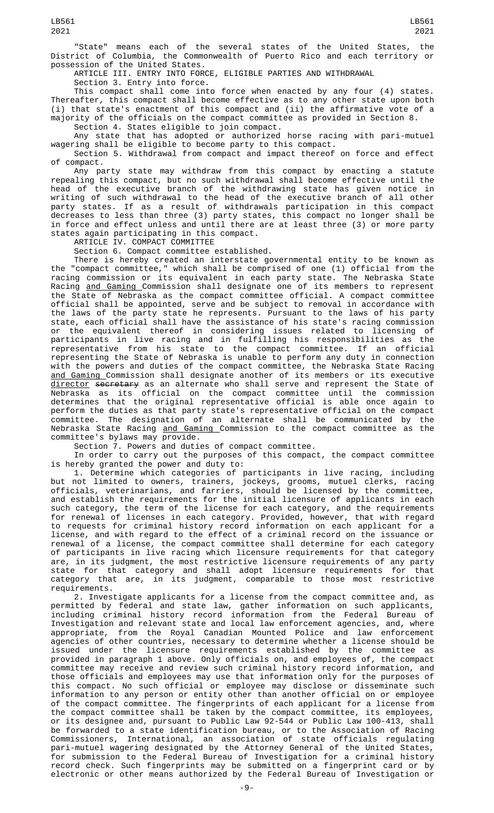"State" means each of the several states of the United States, the District of Columbia, the Commonwealth of Puerto Rico and each territory or possession of the United States.

ARTICLE III. ENTRY INTO FORCE, ELIGIBLE PARTIES AND WITHDRAWAL

Section 3. Entry into force.

This compact shall come into force when enacted by any four (4) states. Thereafter, this compact shall become effective as to any other state upon both (i) that state's enactment of this compact and (ii) the affirmative vote of a majority of the officials on the compact committee as provided in Section 8.

Section 4. States eligible to join compact.

Any state that has adopted or authorized horse racing with pari-mutuel wagering shall be eligible to become party to this compact.

Section 5. Withdrawal from compact and impact thereof on force and effect of compact.

Any party state may withdraw from this compact by enacting a statute repealing this compact, but no such withdrawal shall become effective until the head of the executive branch of the withdrawing state has given notice in writing of such withdrawal to the head of the executive branch of all other party states. If as a result of withdrawals participation in this compact decreases to less than three (3) party states, this compact no longer shall be in force and effect unless and until there are at least three (3) or more party states again participating in this compact.

ARTICLE IV. COMPACT COMMITTEE

Section 6. Compact committee established.

There is hereby created an interstate governmental entity to be known as the "compact committee," which shall be comprised of one (1) official from the racing commission or its equivalent in each party state. The Nebraska State Racing <u>and Gaming </u>Commission shall designate one of its members to represent the State of Nebraska as the compact committee official. A compact committee official shall be appointed, serve and be subject to removal in accordance with the laws of the party state he represents. Pursuant to the laws of his party state, each official shall have the assistance of his state's racing commission or the equivalent thereof in considering issues related to licensing of participants in live racing and in fulfilling his responsibilities as the representative from his state to the compact committee. If an official representing the State of Nebraska is unable to perform any duty in connection with the powers and duties of the compact committee, the Nebraska State Racing and Gaming Commission shall designate another of its members or its executive <u>director</u> <del>secretary</del> as an alternate who shall serve and represent the State of Nebraska as its official on the compact committee until the commission determines that the original representative official is able once again to perform the duties as that party state's representative official on the compact committee. The designation of an alternate shall be communicated by the Nebraska State Racing and Gaming Commission to the compact committee as the committee's bylaws may provide.

Section 7. Powers and duties of compact committee.

In order to carry out the purposes of this compact, the compact committee is hereby granted the power and duty to:

1. Determine which categories of participants in live racing, including but not limited to owners, trainers, jockeys, grooms, mutuel clerks, racing officials, veterinarians, and farriers, should be licensed by the committee, and establish the requirements for the initial licensure of applicants in each such category, the term of the license for each category, and the requirements for renewal of licenses in each category. Provided, however, that with regard to requests for criminal history record information on each applicant for a license, and with regard to the effect of a criminal record on the issuance or renewal of a license, the compact committee shall determine for each category of participants in live racing which licensure requirements for that category are, in its judgment, the most restrictive licensure requirements of any party state for that category and shall adopt licensure requirements for that category that are, in its judgment, comparable to those most restrictive requirements.

2. Investigate applicants for a license from the compact committee and, as permitted by federal and state law, gather information on such applicants, including criminal history record information from the Federal Bureau of Investigation and relevant state and local law enforcement agencies, and, where appropriate, from the Royal Canadian Mounted Police and law enforcement agencies of other countries, necessary to determine whether a license should be issued under the licensure requirements established by the committee as provided in paragraph 1 above. Only officials on, and employees of, the compact committee may receive and review such criminal history record information, and those officials and employees may use that information only for the purposes of this compact. No such official or employee may disclose or disseminate such information to any person or entity other than another official on or employee of the compact committee. The fingerprints of each applicant for a license from the compact committee shall be taken by the compact committee, its employees, or its designee and, pursuant to Public Law 92-544 or Public Law 100-413, shall be forwarded to a state identification bureau, or to the Association of Racing Commissioners, International, an association of state officials regulating pari-mutuel wagering designated by the Attorney General of the United States, for submission to the Federal Bureau of Investigation for a criminal history record check. Such fingerprints may be submitted on a fingerprint card or by electronic or other means authorized by the Federal Bureau of Investigation or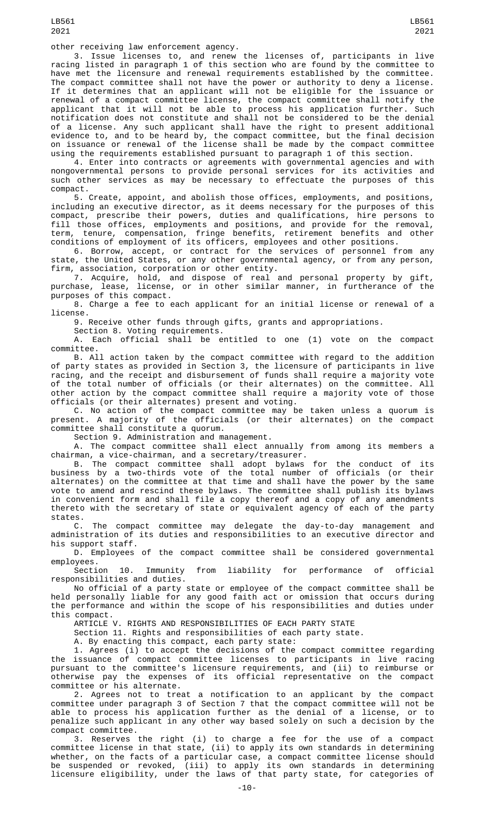other receiving law enforcement agency.

3. Issue licenses to, and renew the licenses of, participants in live racing listed in paragraph 1 of this section who are found by the committee to have met the licensure and renewal requirements established by the committee. The compact committee shall not have the power or authority to deny a license. If it determines that an applicant will not be eligible for the issuance or renewal of a compact committee license, the compact committee shall notify the applicant that it will not be able to process his application further. Such notification does not constitute and shall not be considered to be the denial of a license. Any such applicant shall have the right to present additional evidence to, and to be heard by, the compact committee, but the final decision on issuance or renewal of the license shall be made by the compact committee using the requirements established pursuant to paragraph 1 of this section.

4. Enter into contracts or agreements with governmental agencies and with nongovernmental persons to provide personal services for its activities and such other services as may be necessary to effectuate the purposes of this compact.

5. Create, appoint, and abolish those offices, employments, and positions, including an executive director, as it deems necessary for the purposes of this compact, prescribe their powers, duties and qualifications, hire persons to fill those offices, employments and positions, and provide for the removal, term, tenure, compensation, fringe benefits, retirement benefits and other conditions of employment of its officers, employees and other positions.

6. Borrow, accept, or contract for the services of personnel from any state, the United States, or any other governmental agency, or from any person, firm, association, corporation or other entity.

7. Acquire, hold, and dispose of real and personal property by gift, purchase, lease, license, or in other similar manner, in furtherance of the purposes of this compact.

8. Charge a fee to each applicant for an initial license or renewal of a license.

9. Receive other funds through gifts, grants and appropriations.

Section 8. Voting requirements.

A. Each official shall be entitled to one (1) vote on the compact committee.

B. All action taken by the compact committee with regard to the addition of party states as provided in Section 3, the licensure of participants in live racing, and the receipt and disbursement of funds shall require a majority vote of the total number of officials (or their alternates) on the committee. All other action by the compact committee shall require a majority vote of those officials (or their alternates) present and voting.

C. No action of the compact committee may be taken unless a quorum is present. A majority of the officials (or their alternates) on the compact committee shall constitute a quorum.

Section 9. Administration and management.

A. The compact committee shall elect annually from among its members a chairman, a vice-chairman, and a secretary/treasurer.

B. The compact committee shall adopt bylaws for the conduct of its business by a two-thirds vote of the total number of officials (or their alternates) on the committee at that time and shall have the power by the same vote to amend and rescind these bylaws. The committee shall publish its bylaws in convenient form and shall file a copy thereof and a copy of any amendments thereto with the secretary of state or equivalent agency of each of the party states.

C. The compact committee may delegate the day-to-day management and administration of its duties and responsibilities to an executive director and his support staff.

D. Employees of the compact committee shall be considered governmental employees.

Section 10. Immunity from liability for performance of official responsibilities and duties.

No official of a party state or employee of the compact committee shall be held personally liable for any good faith act or omission that occurs during the performance and within the scope of his responsibilities and duties under this compact.

ARTICLE V. RIGHTS AND RESPONSIBILITIES OF EACH PARTY STATE

Section 11. Rights and responsibilities of each party state.

A. By enacting this compact, each party state:

1. Agrees (i) to accept the decisions of the compact committee regarding the issuance of compact committee licenses to participants in live racing pursuant to the committee's licensure requirements, and (ii) to reimburse or otherwise pay the expenses of its official representative on the compact committee or his alternate.

2. Agrees not to treat a notification to an applicant by the compact committee under paragraph 3 of Section 7 that the compact committee will not be able to process his application further as the denial of a license, or to penalize such applicant in any other way based solely on such a decision by the compact committee.

3. Reserves the right (i) to charge a fee for the use of a compact committee license in that state, (ii) to apply its own standards in determining whether, on the facts of a particular case, a compact committee license should be suspended or revoked, (iii) to apply its own standards in determining licensure eligibility, under the laws of that party state, for categories of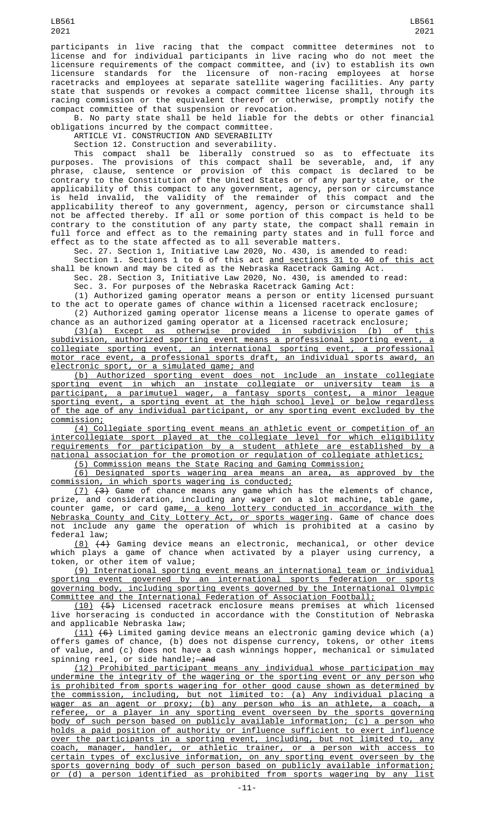participants in live racing that the compact committee determines not to license and for individual participants in live racing who do not meet the licensure requirements of the compact committee, and (iv) to establish its own licensure standards for the licensure of non-racing employees at horse racetracks and employees at separate satellite wagering facilities. Any party state that suspends or revokes a compact committee license shall, through its racing commission or the equivalent thereof or otherwise, promptly notify the compact committee of that suspension or revocation.

B. No party state shall be held liable for the debts or other financial obligations incurred by the compact committee.

ARTICLE VI. CONSTRUCTION AND SEVERABILITY

Section 12. Construction and severability.

This compact shall be liberally construed so as to effectuate its purposes. The provisions of this compact shall be severable, and, if any phrase, clause, sentence or provision of this compact is declared to be contrary to the Constitution of the United States or of any party state, or the applicability of this compact to any government, agency, person or circumstance is held invalid, the validity of the remainder of this compact and the applicability thereof to any government, agency, person or circumstance shall not be affected thereby. If all or some portion of this compact is held to be contrary to the constitution of any party state, the compact shall remain in full force and effect as to the remaining party states and in full force and effect as to the state affected as to all severable matters.

Sec. 27. Section 1, Initiative Law 2020, No. 430, is amended to read:

Section 1. Sections 1 to 6 of this act and sections 31 to 40 of this act shall be known and may be cited as the Nebraska Racetrack Gaming Act.

Sec. 28. Section 3, Initiative Law 2020, No. 430, is amended to read:

Sec. 3. For purposes of the Nebraska Racetrack Gaming Act:

(1) Authorized gaming operator means a person or entity licensed pursuant to the act to operate games of chance within a licensed racetrack enclosure; (2) Authorized gaming operator license means a license to operate games of

chance as an authorized gaming operator at a licensed racetrack enclosure;

(3)(a) Except as otherwise provided in subdivision (b) of this subdivision, authorized sporting event means a professional sporting event, a collegiate sporting event, an international sporting event, a professional motor race event, a professional sports draft, an individual sports award, an electronic sport, or a simulated game; and

(b) Authorized sporting event does not include an instate collegiate sporting event in which an instate collegiate or university team is a participant, a parimutuel wager, a fantasy sports contest, a minor league sporting event, a sporting event at the high school level or below regardless of the age of any individual participant, or any sporting event excluded by the commission;

(4) Collegiate sporting event means an athletic event or competition of an intercollegiate sport played at the collegiate level for which eligibility requirements for participation by a student athlete are established by a national association for the promotion or regulation of collegiate athletics;

(5) Commission means the State Racing and Gaming Commission;

(6) Designated sports wagering area means an area, as approved by the commission, in which sports wagering is conducted;

 $(7)$   $(3)$  Game of chance means any game which has the elements of chance, prize, and consideration, including any wager on a slot machine, table game, counter game, or card game<u>, a keno lottery conducted in accordance with the</u> Nebraska County and City Lottery Act, or sports wagering. Game of chance does not include any game the operation of which is prohibited at a casino by federal law;

(8) (4) Gaming device means an electronic, mechanical, or other device which plays a game of chance when activated by a player using currency, a token, or other item of value;

(9) International sporting event means an international team or individual sporting event governed by an international sports federation or sports governing body, including sporting events governed by the International Olympic Committee and the International Federation of Association Football;

(10) (5) Licensed racetrack enclosure means premises at which licensed live horseracing is conducted in accordance with the Constitution of Nebraska and applicable Nebraska law;

 $(11)$   $(6)$  Limited gaming device means an electronic gaming device which (a) offers games of chance, (b) does not dispense currency, tokens, or other items of value, and (c) does not have a cash winnings hopper, mechanical or simulated spinning reel, or side handle;—<del>and</del>

(12) Prohibited participant means any individual whose participation may undermine the integrity of the wagering or the sporting event or any person who is prohibited from sports wagering for other good cause shown as determined by the commission, including, but not limited to: (a) Any individual placing a wager as an agent or proxy; (b) any person who is an athlete, a coach, a referee, or a player in any sporting event overseen by the sports governing body of such person based on publicly available information; (c) a person who holds a paid position of authority or influence sufficient to exert influence over the participants in a sporting event, including, but not limited to, any coach, manager, handler, or athletic trainer, or a person with access to certain types of exclusive information, on any sporting event overseen by the sports governing body of such person based on publicly available information; or (d) a person identified as prohibited from sports wagering by any list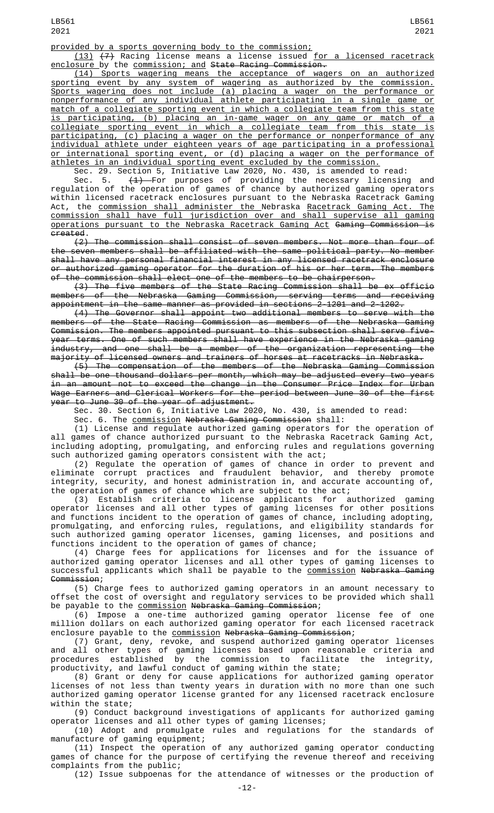(13) (7) Racing license means a license issued for a licensed racetrack enclosure by the commission; and State Racing Commission.

(14) Sports wagering means the acceptance of wagers on an authorized sporting event by any system of wagering as authorized by the commission. Sports wagering does not include (a) placing a wager on the performance or nonperformance of any individual athlete participating in a single game or match of a collegiate sporting event in which a collegiate team from this state is participating, (b) placing an in-game wager on any game or match of a collegiate sporting event in which a collegiate team from this state is participating, (c) placing a wager on the performance or nonperformance of any individual athlete under eighteen years of age participating in a professional or international sporting event, or (d) placing a wager on the performance of athletes in an individual sporting event excluded by the commission.

Sec. 29. Section 5, Initiative Law 2020, No. 430, is amended to read:

Sec. 5. <del>(1) F</del>or purposes of providing the necessary licensing and regulation of the operation of games of chance by authorized gaming operators within licensed racetrack enclosures pursuant to the Nebraska Racetrack Gaming Act, the <u>commission shall administer the </u>Nebraska <u>Racetrack Gaming Act. The</u> commission shall have full jurisdiction over and shall supervise all gaming operations pursuant to the Nebraska Racetrack Gaming Act Gaming Commission is created.

(2) The commission shall consist of seven members. Not more than four of the seven members shall be affiliated with the same political party. No member shall have any personal financial interest in any licensed racetrack enclosure or authorized gaming operator for the duration of his or her term. The members of the commission shall elect one of the members to be chairperson.

(3) The five members of the State Racing Commission shall be ex officio members of the Nebraska Gaming Commission, serving terms and receiving appointment in the same manner as provided in sections 2-1201 and 2-1202.

(4) The Governor shall appoint two additional members to serve with the members of the State Racing Commission as members of the Nebraska Gaming Commission. The members appointed pursuant to this subsection shall serve fiveyear terms. One of such members shall have experience in the Nebraska gaming industry, and one shall be a member of the organization representing the majority of licensed owners and trainers of horses at racetracks in Nebraska.

(5) The compensation of the members of the Nebraska Gaming Commission shall be one thousand dollars per month, which may be adjusted every two years in an amount not to exceed the change in the Consumer Price Index for Urban Wage Earners and Clerical Workers for the period between June 30 of the first year to June 30 of the year of adjustment.

Sec. 30. Section 6, Initiative Law 2020, No. 430, is amended to read:

Sec. 6. The commission Nebraska Gaming Commission shall:

(1) License and regulate authorized gaming operators for the operation of all games of chance authorized pursuant to the Nebraska Racetrack Gaming Act, including adopting, promulgating, and enforcing rules and regulations governing such authorized gaming operators consistent with the act;

(2) Regulate the operation of games of chance in order to prevent and eliminate corrupt practices and fraudulent behavior, and thereby promote integrity, security, and honest administration in, and accurate accounting of, the operation of games of chance which are subject to the act;

(3) Establish criteria to license applicants for authorized gaming operator licenses and all other types of gaming licenses for other positions and functions incident to the operation of games of chance, including adopting, promulgating, and enforcing rules, regulations, and eligibility standards for such authorized gaming operator licenses, gaming licenses, and positions and functions incident to the operation of games of chance;

(4) Charge fees for applications for licenses and for the issuance of authorized gaming operator licenses and all other types of gaming licenses to successful applicants which shall be payable to the <u>commission</u> <del>Nebraska Gaming</del> Commission;

(5) Charge fees to authorized gaming operators in an amount necessary to offset the cost of oversight and regulatory services to be provided which shall be payable to the commission Nebraska Gaming Commission;

(6) Impose a one-time authorized gaming operator license fee of one million dollars on each authorized gaming operator for each licensed racetrack enclosure payable to the <u>commission</u> N<del>ebraska Gaming Commission</del>;

(7) Grant, deny, revoke, and suspend authorized gaming operator licenses and all other types of gaming licenses based upon reasonable criteria and procedures established by the commission to facilitate the integrity, productivity, and lawful conduct of gaming within the state;

(8) Grant or deny for cause applications for authorized gaming operator licenses of not less than twenty years in duration with no more than one such authorized gaming operator license granted for any licensed racetrack enclosure within the state;

(9) Conduct background investigations of applicants for authorized gaming operator licenses and all other types of gaming licenses;

(10) Adopt and promulgate rules and regulations for the standards of manufacture of gaming equipment;

(11) Inspect the operation of any authorized gaming operator conducting games of chance for the purpose of certifying the revenue thereof and receiving complaints from the public;

(12) Issue subpoenas for the attendance of witnesses or the production of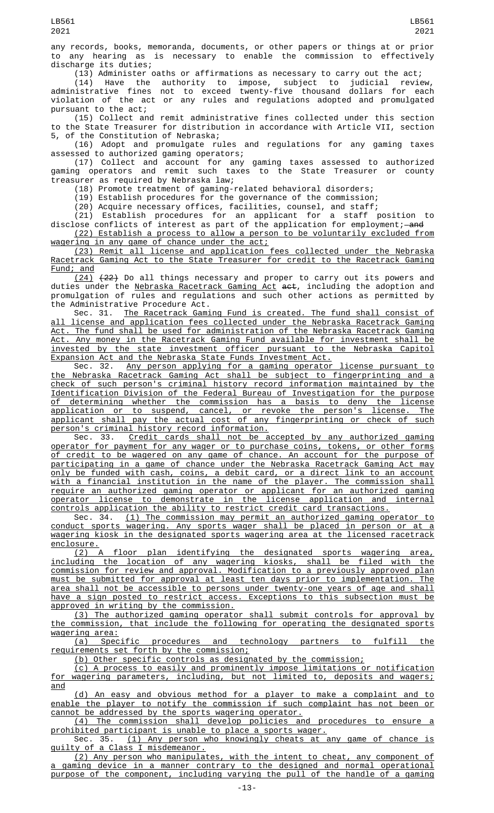any records, books, memoranda, documents, or other papers or things at or prior to any hearing as is necessary to enable the commission to effectively discharge its duties;

 $(13)$  Administer oaths or affirmations as necessary to carry out the act;

(14) Have the authority to impose, subject to judicial review, administrative fines not to exceed twenty-five thousand dollars for each violation of the act or any rules and regulations adopted and promulgated pursuant to the act;

(15) Collect and remit administrative fines collected under this section to the State Treasurer for distribution in accordance with Article VII, section 5, of the Constitution of Nebraska;

(16) Adopt and promulgate rules and regulations for any gaming taxes assessed to authorized gaming operators;

(17) Collect and account for any gaming taxes assessed to authorized gaming operators and remit such taxes to the State Treasurer or county treasurer as required by Nebraska law;

(18) Promote treatment of gaming-related behavioral disorders;

(19) Establish procedures for the governance of the commission;

(20) Acquire necessary offices, facilities, counsel, and staff;

(21) Establish procedures for an applicant for a staff position to disclose conflicts of interest as part of the application for employment;—<del>and</del> (22) Establish a process to allow a person to be voluntarily excluded from

wagering in any game of chance under the act;

(23) Remit all license and application fees collected under the Nebraska Racetrack Gaming Act to the State Treasurer for credit to the Racetrack Gaming Fund; and

(24) (22) Do all things necessary and proper to carry out its powers and duties under the Nebraska Racetrack Gaming Act act, including the adoption and promulgation of rules and regulations and such other actions as permitted by the Administrative Procedure Act.

Sec. 31. The Racetrack Gaming Fund is created. The fund shall consist of all license and application fees collected under the Nebraska Racetrack Gaming Act. The fund shall be used for administration of the Nebraska Racetrack Gaming Act. Any money in the Racetrack Gaming Fund available for investment shall be invested by the state investment officer pursuant to the Nebraska Capitol Expansion Act and the Nebraska State Funds Investment Act.<br>Sec. 32. Any person applying for a gaming operator

Any person applying for a gaming operator license pursuant to the Nebraska Racetrack Gaming Act shall be subject to fingerprinting and a check of such person's criminal history record information maintained by the Identification Division of the Federal Bureau of Investigation for the purpose of determining whether the commission has a basis to deny the license application or to suspend, cancel, or revoke the person's license. The applicant shall pay the actual cost of any fingerprinting or check of such person's criminal history record information.

Sec. 33. <u>Credit cards shall not be accepted by any authorized gaming</u> operator for payment for any wager or to purchase coins, tokens, or other forms of credit to be wagered on any game of chance. An account for the purpose of participating in a game of chance under the Nebraska Racetrack Gaming Act may only be funded with cash, coins, a debit card, or a direct link to an account with a financial institution in the name of the player. The commission shall require an authorized gaming operator or applicant for an authorized gaming operator license to demonstrate in the license application and internal controls application the ability to restrict credit card transactions.

Sec. 34. <u>(1) The commission may permit an authorized gaming operator to</u> conduct sports wagering. Any sports wager shall be placed in person or at a wagering kiosk in the designated sports wagering area at the licensed racetrack enclosure.

(2) A floor plan identifying the designated sports wagering area, including the location of any wagering kiosks, shall be filed with the commission for review and approval. Modification to a previously approved plan must be submitted for approval at least ten days prior to implementation. The area shall not be accessible to persons under twenty-one years of age and shall have a sign posted to restrict access. Exceptions to this subsection must be approved in writing by the commission.

(3) The authorized gaming operator shall submit controls for approval by the commission, that include the following for operating the designated sports wagering area:

(a) Specific procedures and technology partners to fulfill the requirements set forth by the commission;

(b) Other specific controls as designated by the commission;

(c) A process to easily and prominently impose limitations or notification for wagering parameters, including, but not limited to, deposits and wagers; and

(d) An easy and obvious method for a player to make a complaint and to enable the player to notify the commission if such complaint has not been or cannot be addressed by the sports wagering operator.

(4) The commission shall develop policies and procedures to ensure a prohibited participant is unable to place a sports wager.

Sec. 35. (1) Any person who knowingly cheats at any game of chance is guilty of a Class I misdemeanor.

(2) Any person who manipulates, with the intent to cheat, any component of a gaming device in a manner contrary to the designed and normal operational purpose of the component, including varying the pull of the handle of a gaming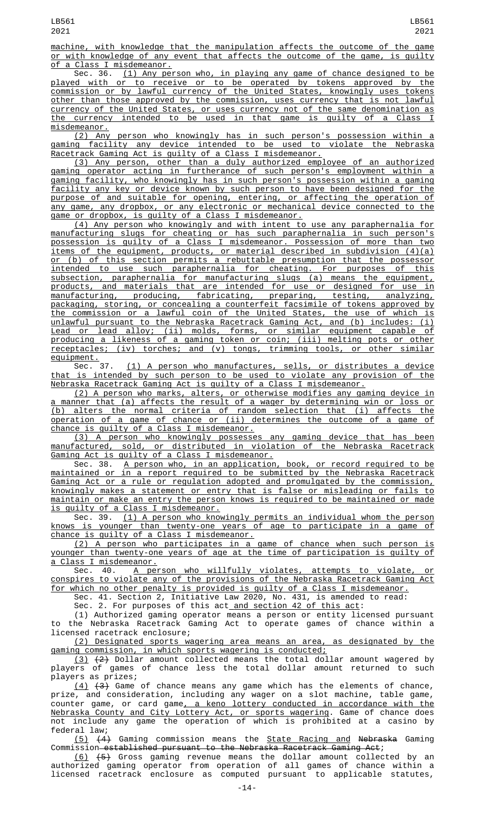machine, with knowledge that the manipulation affects the outcome of the game or with knowledge of any event that affects the outcome of the game, is guilty a Class I misdemeanor.

Sec. 36. (1) Any person who, in playing any game of chance designed to be played with or to receive or to be operated by tokens approved by the commission or by lawful currency of the United States, knowingly uses tokens other than those approved by the commission, uses currency that is not lawful currency of the United States, or uses currency not of the same denomination as the currency intended to be used in that game is guilty of a Class I misdemeanor.

(2) Any person who knowingly has in such person's possession within a gaming facility any device intended to be used to violate the Nebraska Racetrack Gaming Act is guilty of a Class I misdemeanor.

(3) Any person, other than a duly authorized employee of an authorized gaming operator acting in furtherance of such person's employment within a gaming facility, who knowingly has in such person's possession within a gaming facility any key or device known by such person to have been designed for the purpose of and suitable for opening, entering, or affecting the operation of any game, any dropbox, or any electronic or mechanical device connected to the game or dropbox, is guilty of a Class I misdemeanor.

(4) Any person who knowingly and with intent to use any paraphernalia for manufacturing slugs for cheating or has such paraphernalia in such person's possession is guilty of a Class I misdemeanor. Possession of more than two items of the equipment, products, or material described in subdivision (4)(a) or (b) of this section permits a rebuttable presumption that the possessor intended to use such paraphernalia for cheating. For purposes of this subsection, paraphernalia for manufacturing slugs (a) means the equipment, products, and materials that are intended for use or designed for use in manufacturing, producing, fabricating, preparing, testing, analyzing, packaging, storing, or concealing a counterfeit facsimile of tokens approved by the commission or a lawful coin of the United States, the use of which is unlawful pursuant to the Nebraska Racetrack Gaming Act, and (b) includes: (i) Lead or lead alloy; (ii) molds, forms, or similar equipment capable of producing a likeness of a gaming token or coin; (iii) melting pots or other receptacles; (iv) torches; and (v) tongs, trimming tools, or other similar

equipment.<br>Sec. 37. (1) A person who manufactures, sells, or distributes a device that is intended by such person to be used to violate any provision of the Nebraska Racetrack Gaming Act is guilty of a Class I misdemeanor.

(2) A person who marks, alters, or otherwise modifies any gaming device in a manner that (a) affects the result of a wager by determining win or loss or (b) alters the normal criteria of random selection that (i) affects the operation of a game of chance or (ii) determines the outcome of a game of chance is guilty of a Class I misdemeanor.

(3) A person who knowingly possesses any gaming device that has been manufactured, sold, or distributed in violation of the Nebraska Racetrack Gaming Act is guilty of a Class I misdemeanor.

Sec. 38. A person who, in an application, book, or record required to be maintained or in a report required to be submitted by the Nebraska Racetrack Gaming Act or a rule or regulation adopted and promulgated by the commission, knowingly makes a statement or entry that is false or misleading or fails to maintain or make an entry the person knows is required to be maintained or made is guilty of a Class I misdemeanor.

Sec. 39. (1) A person who knowingly permits an individual whom the person knows is younger than twenty-one years of age to participate in a game of chance is guilty of a Class I misdemeanor.

(2) A person who participates in a game of chance when such person is younger than twenty-one years of age at the time of participation is guilty of a Class I misdemeanor.

Sec. 40. A person who willfully violates, attempts to violate, or conspires to violate any of the provisions of the Nebraska Racetrack Gaming Act for which no other penalty is provided is guilty of a Class I misdemeanor.

Sec. 41. Section 2, Initiative Law 2020, No. 431, is amended to read:

Sec. 2. For purposes of this act<u> and section 42 of this act</u>:

(1) Authorized gaming operator means a person or entity licensed pursuant to the Nebraska Racetrack Gaming Act to operate games of chance within a licensed racetrack enclosure;

(2) Designated sports wagering area means an area, as designated by the gaming commission, in which sports wagering is conducted;

 $(3)$   $(2)$  Dollar amount collected means the total dollar amount wagered by players of games of chance less the total dollar amount returned to such players as prizes;

(4) (3) Game of chance means any game which has the elements of chance, prize, and consideration, including any wager on a slot machine, table game, counter game, or card game<u>, a keno lottery conducted in accordance with the</u> Nebraska County and City Lottery Act, or sports wagering. Game of chance does not include any game the operation of which is prohibited at a casino by federal law;

(5) (4) Gaming commission means the State Racing and Nebraska Gaming Commission established pursuant to the Nebraska Racetrack Gaming Act;

(6) (5) Gross gaming revenue means the dollar amount collected by an authorized gaming operator from operation of all games of chance within a licensed racetrack enclosure as computed pursuant to applicable statutes,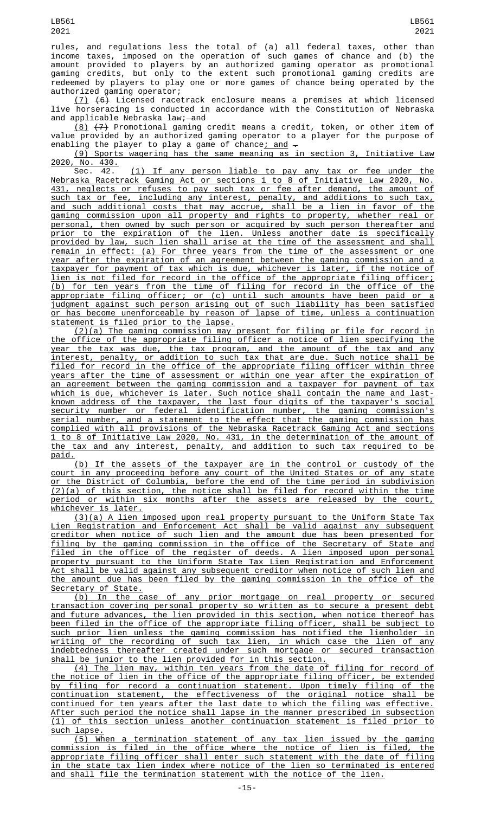rules, and regulations less the total of (a) all federal taxes, other than income taxes, imposed on the operation of such games of chance and (b) the amount provided to players by an authorized gaming operator as promotional gaming credits, but only to the extent such promotional gaming credits are redeemed by players to play one or more games of chance being operated by the authorized gaming operator;

 $(7)$   $(6)$  Licensed racetrack enclosure means a premises at which licensed live horseracing is conducted in accordance with the Constitution of Nebraska and applicable Nebraska law; and

(8) (7) Promotional gaming credit means a credit, token, or other item of value provided by an authorized gaming operator to a player for the purpose of enabling the player to play a game of chance<u>; and</u>  $\hbox{-}$ 

(9) Sports wagering has the same meaning as in section 3, Initiative Law 2020, No. 430.<br>Sec. 42.

(1) If any person liable to pay any tax or fee under the Nebraska Racetrack Gaming Act or sections 1 to 8 of Initiative Law 2020, No. 431, neglects or refuses to pay such tax or fee after demand, the amount of such tax or fee, including any interest, penalty, and additions to such tax, and such additional costs that may accrue, shall be a lien in favor of the gaming commission upon all property and rights to property, whether real or personal, then owned by such person or acquired by such person thereafter and prior to the expiration of the lien. Unless another date is specifically provided by law, such lien shall arise at the time of the assessment and shall remain in effect: (a) For three years from the time of the assessment or one year after the expiration of an agreement between the gaming commission and a taxpayer for payment of tax which is due, whichever is later, if the notice of lien is not filed for record in the office of the appropriate filing officer; (b) for ten years from the time of filing for record in the office of the appropriate filing officer; or (c) until such amounts have been paid or a judgment against such person arising out of such liability has been satisfied or has become unenforceable by reason of lapse of time, unless a continuation statement is filed prior to the lapse.

(2)(a) The gaming commission may present for filing or file for record in the office of the appropriate filing officer a notice of lien specifying the year the tax was due, the tax program, and the amount of the tax and any interest, penalty, or addition to such tax that are due. Such notice shall be filed for record in the office of the appropriate filing officer within three years after the time of assessment or within one year after the expiration of an agreement between the gaming commission and a taxpayer for payment of tax which is due, whichever is later. Such notice shall contain the name and lastknown address of the taxpayer, the last four digits of the taxpayer's social security number or federal identification number, the gaming commission's serial number, and a statement to the effect that the gaming commission has complied with all provisions of the Nebraska Racetrack Gaming Act and sections 1 to 8 of Initiative Law 2020, No. 431, in the determination of the amount of the tax and any interest, penalty, and addition to such tax required to be paid.

(b) If the assets of the taxpayer are in the control or custody of the court in any proceeding before any court of the United States or of any state or the District of Columbia, before the end of the time period in subdivision (2)(a) of this section, the notice shall be filed for record within the time period or within six months after the assets are released by the court, <u>whichever is later.</u>

(3)(a) A lien imposed upon real property pursuant to the Uniform State Tax Lien Registration and Enforcement Act shall be valid against any subsequent creditor when notice of such lien and the amount due has been presented for filing by the gaming commission in the office of the Secretary of State and filed in the office of the register of deeds. A lien imposed upon personal property pursuant to the Uniform State Tax Lien Registration and Enforcement Act shall be valid against any subsequent creditor when notice of such lien and the amount due has been filed by the gaming commission in the office of the Secretary of State.

(b) In the case of any prior mortgage on real property or secured transaction covering personal property so written as to secure a present debt and future advances, the lien provided in this section, when notice thereof has been filed in the office of the appropriate filing officer, shall be subject to such prior lien unless the gaming commission has notified the lienholder in writing of the recording of such tax lien, in which case the lien of any indebtedness thereafter created under such mortgage or secured transaction shall be junior to the lien provided for in this section.

(4) The lien may, within ten years from the date of filing for record of the notice of lien in the office of the appropriate filing officer, be extended by filing for record a continuation statement. Upon timely filing of the continuation statement, the effectiveness of the original notice shall be continued for ten years after the last date to which the filing was effective. After such period the notice shall lapse in the manner prescribed in subsection (1) of this section unless another continuation statement is filed prior to such lapse.

(5) When a termination statement of any tax lien issued by the gaming commission is filed in the office where the notice of lien is filed, the appropriate filing officer shall enter such statement with the date of filing in the state tax lien index where notice of the lien so terminated is entered and shall file the termination statement with the notice of the lien.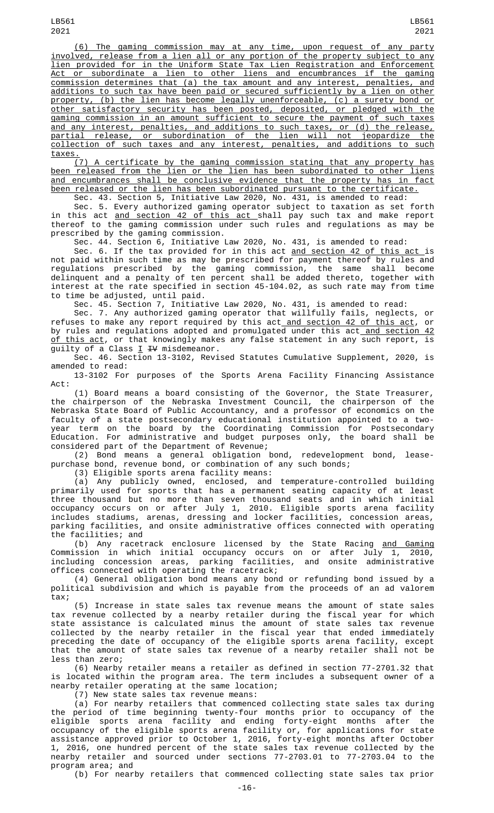LB561 2021

(6) The gaming commission may at any time, upon request of any party involved, release from a lien all or any portion of the property subject to any lien provided for in the Uniform State Tax Lien Registration and Enforcement Act or subordinate a lien to other liens and encumbrances if the gaming commission determines that (a) the tax amount and any interest, penalties, and additions to such tax have been paid or secured sufficiently by a lien on other property, (b) the lien has become legally unenforceable, (c) a surety bond or other satisfactory security has been posted, deposited, or pledged with the gaming commission in an amount sufficient to secure the payment of such taxes and any interest, penalties, and additions to such taxes, or (d) the release, partial release, or subordination of the lien will not jeopardize the collection of such taxes and any interest, penalties, and additions to such taxes.

(7) A certificate by the gaming commission stating that any property has been released from the lien or the lien has been subordinated to other liens and encumbrances shall be conclusive evidence that the property has in fact been released or the lien has been subordinated pursuant to the certificate.

Sec. 43. Section 5, Initiative Law 2020, No. 431, is amended to read: Sec. 5. Every authorized gaming operator subject to taxation as set forth in this act <u>and section 42 of this act shall</u> pay such tax and make report thereof to the gaming commission under such rules and regulations as may be

prescribed by the gaming commission.

Sec. 44. Section 6, Initiative Law 2020, No. 431, is amended to read:

Sec. 6. If the tax provided for in this act <u>and section 42 of this act </u>is not paid within such time as may be prescribed for payment thereof by rules and regulations prescribed by the gaming commission, the same shall become delinquent and a penalty of ten percent shall be added thereto, together with interest at the rate specified in section 45-104.02, as such rate may from time to time be adjusted, until paid.

Sec. 45. Section 7, Initiative Law 2020, No. 431, is amended to read:

Sec. 7. Any authorized gaming operator that willfully fails, neglects, or refuses to make any report required by this act and section 42 of this act, or by rules and regulations adopted and promulgated under this act<u> and section 42</u> <u>of this act</u>, or that knowingly makes any false statement in any such report, is guilty of a Class  $I$   $H$  misdemeanor.

Sec. 46. Section 13-3102, Revised Statutes Cumulative Supplement, 2020, is amended to read:

13-3102 For purposes of the Sports Arena Facility Financing Assistance Act:

(1) Board means a board consisting of the Governor, the State Treasurer, the chairperson of the Nebraska Investment Council, the chairperson of the Nebraska State Board of Public Accountancy, and a professor of economics on the faculty of a state postsecondary educational institution appointed to a twoyear term on the board by the Coordinating Commission for Postsecondary Education. For administrative and budget purposes only, the board shall be considered part of the Department of Revenue;

(2) Bond means a general obligation bond, redevelopment bond, leasepurchase bond, revenue bond, or combination of any such bonds;

(3) Eligible sports arena facility means:

(a) Any publicly owned, enclosed, and temperature-controlled building primarily used for sports that has a permanent seating capacity of at least three thousand but no more than seven thousand seats and in which initial occupancy occurs on or after July 1, 2010. Eligible sports arena facility includes stadiums, arenas, dressing and locker facilities, concession areas, parking facilities, and onsite administrative offices connected with operating the facilities; and

(b) Any racetrack enclosure licensed by the State Racing <u>and Gaming</u> Commission in which initial occupancy occurs on or after July 1, 2010, including concession areas, parking facilities, and onsite administrative offices connected with operating the racetrack;

(4) General obligation bond means any bond or refunding bond issued by a political subdivision and which is payable from the proceeds of an ad valorem tax;

(5) Increase in state sales tax revenue means the amount of state sales tax revenue collected by a nearby retailer during the fiscal year for which state assistance is calculated minus the amount of state sales tax revenue collected by the nearby retailer in the fiscal year that ended immediately preceding the date of occupancy of the eligible sports arena facility, except that the amount of state sales tax revenue of a nearby retailer shall not be less than zero;

(6) Nearby retailer means a retailer as defined in section 77-2701.32 that is located within the program area. The term includes a subsequent owner of a nearby retailer operating at the same location;

(7) New state sales tax revenue means:

(a) For nearby retailers that commenced collecting state sales tax during the period of time beginning twenty-four months prior to occupancy of the eligible sports arena facility and ending forty-eight months after the occupancy of the eligible sports arena facility or, for applications for state assistance approved prior to October 1, 2016, forty-eight months after October 1, 2016, one hundred percent of the state sales tax revenue collected by the nearby retailer and sourced under sections 77-2703.01 to 77-2703.04 to the program area; and

(b) For nearby retailers that commenced collecting state sales tax prior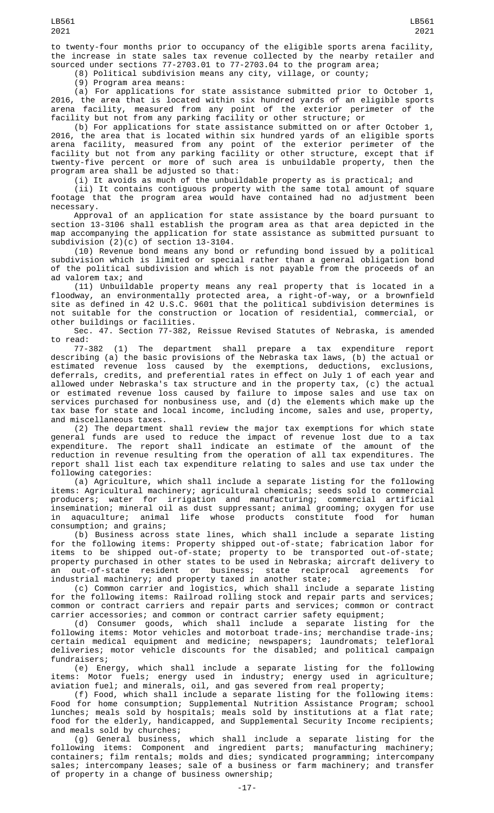to twenty-four months prior to occupancy of the eligible sports arena facility, the increase in state sales tax revenue collected by the nearby retailer and sourced under sections 77-2703.01 to 77-2703.04 to the program area;

(8) Political subdivision means any city, village, or county;

(9) Program area means:

(a) For applications for state assistance submitted prior to October 1, 2016, the area that is located within six hundred yards of an eligible sports arena facility, measured from any point of the exterior perimeter of the facility but not from any parking facility or other structure; or

(b) For applications for state assistance submitted on or after October 1, 2016, the area that is located within six hundred yards of an eligible sports arena facility, measured from any point of the exterior perimeter of the facility but not from any parking facility or other structure, except that if twenty-five percent or more of such area is unbuildable property, then the program area shall be adjusted so that:

(i) It avoids as much of the unbuildable property as is practical; and

(ii) It contains contiguous property with the same total amount of square footage that the program area would have contained had no adjustment been necessary.

Approval of an application for state assistance by the board pursuant to section 13-3106 shall establish the program area as that area depicted in the map accompanying the application for state assistance as submitted pursuant to subdivision (2)(c) of section 13-3104.

(10) Revenue bond means any bond or refunding bond issued by a political subdivision which is limited or special rather than a general obligation bond of the political subdivision and which is not payable from the proceeds of an ad valorem tax; and

(11) Unbuildable property means any real property that is located in a floodway, an environmentally protected area, a right-of-way, or a brownfield site as defined in 42 U.S.C. 9601 that the political subdivision determines is not suitable for the construction or location of residential, commercial, or other buildings or facilities.

Sec. 47. Section 77-382, Reissue Revised Statutes of Nebraska, is amended to read:

77-382 (1) The department shall prepare a tax expenditure report describing (a) the basic provisions of the Nebraska tax laws, (b) the actual or estimated revenue loss caused by the exemptions, deductions, exclusions, deferrals, credits, and preferential rates in effect on July 1 of each year and allowed under Nebraska's tax structure and in the property tax, (c) the actual or estimated revenue loss caused by failure to impose sales and use tax on services purchased for nonbusiness use, and (d) the elements which make up the tax base for state and local income, including income, sales and use, property, and miscellaneous taxes.

(2) The department shall review the major tax exemptions for which state general funds are used to reduce the impact of revenue lost due to a tax expenditure. The report shall indicate an estimate of the amount of the reduction in revenue resulting from the operation of all tax expenditures. The report shall list each tax expenditure relating to sales and use tax under the following categories:

(a) Agriculture, which shall include a separate listing for the following items: Agricultural machinery; agricultural chemicals; seeds sold to commercial producers; water for irrigation and manufacturing; commercial artificial insemination; mineral oil as dust suppressant; animal grooming; oxygen for use in aquaculture; animal life whose products constitute food for human consumption; and grains;

(b) Business across state lines, which shall include a separate listing for the following items: Property shipped out-of-state; fabrication labor for items to be shipped out-of-state; property to be transported out-of-state; property purchased in other states to be used in Nebraska; aircraft delivery to an out-of-state resident or business; state reciprocal agreements for industrial machinery; and property taxed in another state;

(c) Common carrier and logistics, which shall include a separate listing for the following items: Railroad rolling stock and repair parts and services; common or contract carriers and repair parts and services; common or contract carrier accessories; and common or contract carrier safety equipment;

(d) Consumer goods, which shall include a separate listing for the following items: Motor vehicles and motorboat trade-ins; merchandise trade-ins; certain medical equipment and medicine; newspapers; laundromats; telefloral deliveries; motor vehicle discounts for the disabled; and political campaign fundraisers;

(e) Energy, which shall include a separate listing for the following items: Motor fuels; energy used in industry; energy used in agriculture; aviation fuel; and minerals, oil, and gas severed from real property;

(f) Food, which shall include a separate listing for the following items: Food for home consumption; Supplemental Nutrition Assistance Program; school lunches; meals sold by hospitals; meals sold by institutions at a flat rate; food for the elderly, handicapped, and Supplemental Security Income recipients; and meals sold by churches;

(g) General business, which shall include a separate listing for the following items: Component and ingredient parts; manufacturing machinery; containers; film rentals; molds and dies; syndicated programming; intercompany sales; intercompany leases; sale of a business or farm machinery; and transfer of property in a change of business ownership;